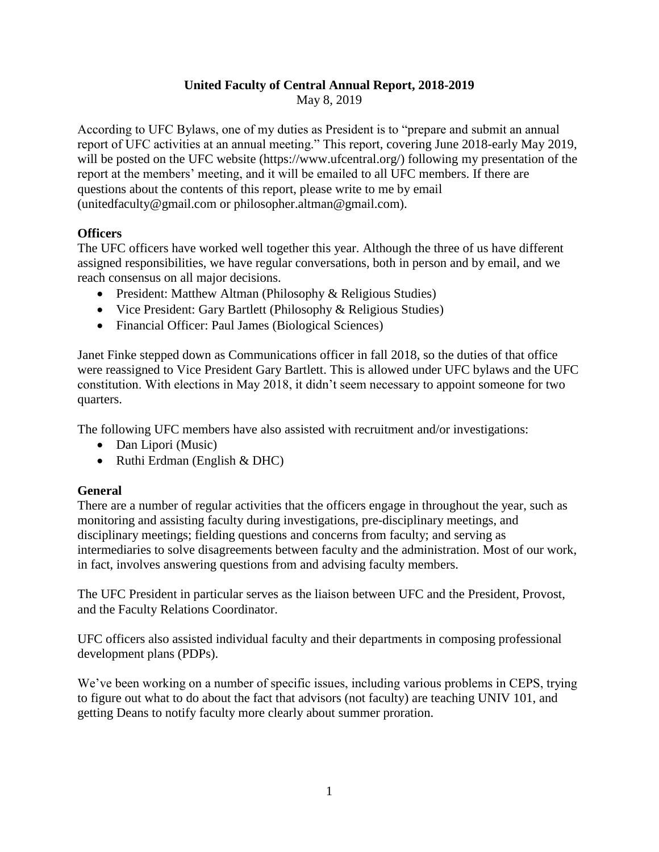### **United Faculty of Central Annual Report, 2018-2019**

May 8, 2019

According to UFC Bylaws, one of my duties as President is to "prepare and submit an annual report of UFC activities at an annual meeting." This report, covering June 2018-early May 2019, will be posted on the UFC website (https://www.ufcentral.org/) following my presentation of the report at the members' meeting, and it will be emailed to all UFC members. If there are questions about the contents of this report, please write to me by email (unitedfaculty@gmail.com or philosopher.altman@gmail.com).

### **Officers**

The UFC officers have worked well together this year. Although the three of us have different assigned responsibilities, we have regular conversations, both in person and by email, and we reach consensus on all major decisions.

- President: Matthew Altman (Philosophy & Religious Studies)
- Vice President: Gary Bartlett (Philosophy & Religious Studies)
- Financial Officer: Paul James (Biological Sciences)

Janet Finke stepped down as Communications officer in fall 2018, so the duties of that office were reassigned to Vice President Gary Bartlett. This is allowed under UFC bylaws and the UFC constitution. With elections in May 2018, it didn't seem necessary to appoint someone for two quarters.

The following UFC members have also assisted with recruitment and/or investigations:

- Dan Lipori (Music)
- Ruthi Erdman (English & DHC)

### **General**

There are a number of regular activities that the officers engage in throughout the year, such as monitoring and assisting faculty during investigations, pre-disciplinary meetings, and disciplinary meetings; fielding questions and concerns from faculty; and serving as intermediaries to solve disagreements between faculty and the administration. Most of our work, in fact, involves answering questions from and advising faculty members.

The UFC President in particular serves as the liaison between UFC and the President, Provost, and the Faculty Relations Coordinator.

UFC officers also assisted individual faculty and their departments in composing professional development plans (PDPs).

We've been working on a number of specific issues, including various problems in CEPS, trying to figure out what to do about the fact that advisors (not faculty) are teaching UNIV 101, and getting Deans to notify faculty more clearly about summer proration.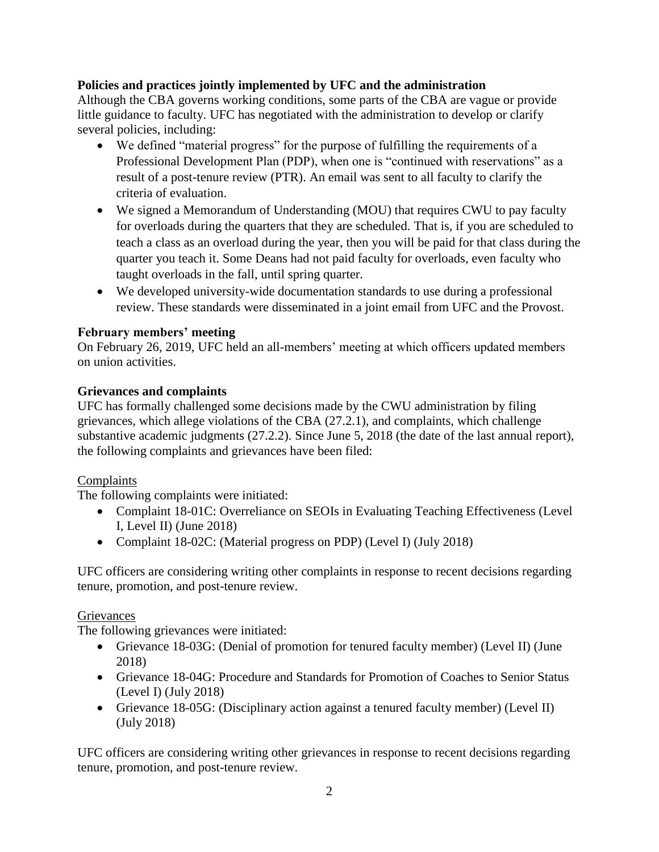### **Policies and practices jointly implemented by UFC and the administration**

Although the CBA governs working conditions, some parts of the CBA are vague or provide little guidance to faculty. UFC has negotiated with the administration to develop or clarify several policies, including:

- We defined "material progress" for the purpose of fulfilling the requirements of a Professional Development Plan (PDP), when one is "continued with reservations" as a result of a post-tenure review (PTR). An email was sent to all faculty to clarify the criteria of evaluation.
- We signed a Memorandum of Understanding (MOU) that requires CWU to pay faculty for overloads during the quarters that they are scheduled. That is, if you are scheduled to teach a class as an overload during the year, then you will be paid for that class during the quarter you teach it. Some Deans had not paid faculty for overloads, even faculty who taught overloads in the fall, until spring quarter.
- We developed university-wide documentation standards to use during a professional review. These standards were disseminated in a joint email from UFC and the Provost.

## **February members' meeting**

On February 26, 2019, UFC held an all-members' meeting at which officers updated members on union activities.

### **Grievances and complaints**

UFC has formally challenged some decisions made by the CWU administration by filing grievances, which allege violations of the CBA (27.2.1), and complaints, which challenge substantive academic judgments (27.2.2). Since June 5, 2018 (the date of the last annual report), the following complaints and grievances have been filed:

# Complaints

The following complaints were initiated:

- Complaint 18-01C: Overreliance on SEOIs in Evaluating Teaching Effectiveness (Level I, Level II) (June 2018)
- Complaint 18-02C: (Material progress on PDP) (Level I) (July 2018)

UFC officers are considering writing other complaints in response to recent decisions regarding tenure, promotion, and post-tenure review.

### Grievances

The following grievances were initiated:

- Grievance 18-03G: (Denial of promotion for tenured faculty member) (Level II) (June 2018)
- Grievance 18-04G: Procedure and Standards for Promotion of Coaches to Senior Status (Level I) (July 2018)
- Grievance 18-05G: (Disciplinary action against a tenured faculty member) (Level II) (July 2018)

UFC officers are considering writing other grievances in response to recent decisions regarding tenure, promotion, and post-tenure review.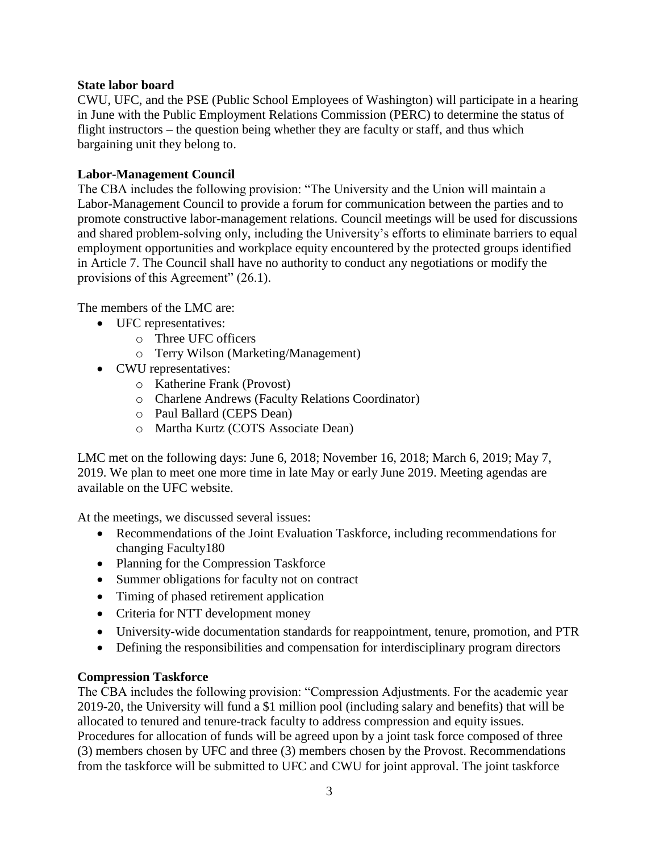#### **State labor board**

CWU, UFC, and the PSE (Public School Employees of Washington) will participate in a hearing in June with the Public Employment Relations Commission (PERC) to determine the status of flight instructors – the question being whether they are faculty or staff, and thus which bargaining unit they belong to.

#### **Labor-Management Council**

The CBA includes the following provision: "The University and the Union will maintain a Labor-Management Council to provide a forum for communication between the parties and to promote constructive labor-management relations. Council meetings will be used for discussions and shared problem-solving only, including the University's efforts to eliminate barriers to equal employment opportunities and workplace equity encountered by the protected groups identified in Article 7. The Council shall have no authority to conduct any negotiations or modify the provisions of this Agreement" (26.1).

The members of the LMC are:

- UFC representatives:
	- o Three UFC officers
	- o Terry Wilson (Marketing/Management)
- CWU representatives:
	- o Katherine Frank (Provost)
	- o Charlene Andrews (Faculty Relations Coordinator)
	- o Paul Ballard (CEPS Dean)
	- o Martha Kurtz (COTS Associate Dean)

LMC met on the following days: June 6, 2018; November 16, 2018; March 6, 2019; May 7, 2019. We plan to meet one more time in late May or early June 2019. Meeting agendas are available on the UFC website.

At the meetings, we discussed several issues:

- Recommendations of the Joint Evaluation Taskforce, including recommendations for changing Faculty180
- Planning for the Compression Taskforce
- Summer obligations for faculty not on contract
- Timing of phased retirement application
- Criteria for NTT development money
- University-wide documentation standards for reappointment, tenure, promotion, and PTR
- Defining the responsibilities and compensation for interdisciplinary program directors

### **Compression Taskforce**

The CBA includes the following provision: "Compression Adjustments. For the academic year 2019-20, the University will fund a \$1 million pool (including salary and benefits) that will be allocated to tenured and tenure-track faculty to address compression and equity issues. Procedures for allocation of funds will be agreed upon by a joint task force composed of three (3) members chosen by UFC and three (3) members chosen by the Provost. Recommendations from the taskforce will be submitted to UFC and CWU for joint approval. The joint taskforce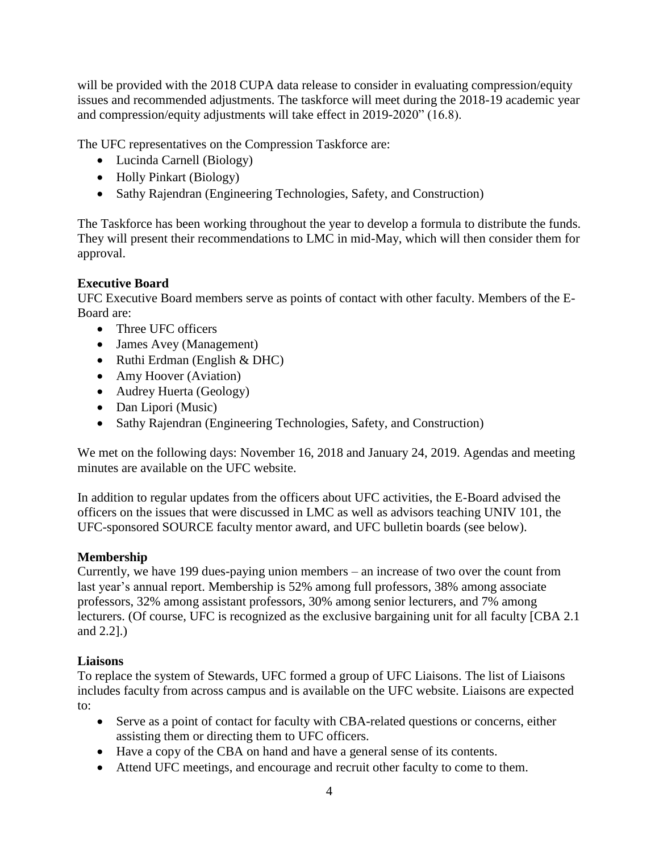will be provided with the 2018 CUPA data release to consider in evaluating compression/equity issues and recommended adjustments. The taskforce will meet during the 2018-19 academic year and compression/equity adjustments will take effect in 2019-2020" (16.8).

The UFC representatives on the Compression Taskforce are:

- Lucinda Carnell (Biology)
- Holly Pinkart (Biology)
- Sathy Rajendran (Engineering Technologies, Safety, and Construction)

The Taskforce has been working throughout the year to develop a formula to distribute the funds. They will present their recommendations to LMC in mid-May, which will then consider them for approval.

### **Executive Board**

UFC Executive Board members serve as points of contact with other faculty. Members of the E-Board are:

- Three UFC officers
- James Avey (Management)
- Ruthi Erdman (English & DHC)
- Amy Hoover (Aviation)
- Audrey Huerta (Geology)
- Dan Lipori (Music)
- Sathy Rajendran (Engineering Technologies, Safety, and Construction)

We met on the following days: November 16, 2018 and January 24, 2019. Agendas and meeting minutes are available on the UFC website.

In addition to regular updates from the officers about UFC activities, the E-Board advised the officers on the issues that were discussed in LMC as well as advisors teaching UNIV 101, the UFC-sponsored SOURCE faculty mentor award, and UFC bulletin boards (see below).

### **Membership**

Currently, we have 199 dues-paying union members – an increase of two over the count from last year's annual report. Membership is 52% among full professors, 38% among associate professors, 32% among assistant professors, 30% among senior lecturers, and 7% among lecturers. (Of course, UFC is recognized as the exclusive bargaining unit for all faculty [CBA 2.1 and 2.2].)

### **Liaisons**

To replace the system of Stewards, UFC formed a group of UFC Liaisons. The list of Liaisons includes faculty from across campus and is available on the UFC website. Liaisons are expected to:

- Serve as a point of contact for faculty with CBA-related questions or concerns, either assisting them or directing them to UFC officers.
- Have a copy of the CBA on hand and have a general sense of its contents.
- Attend UFC meetings, and encourage and recruit other faculty to come to them.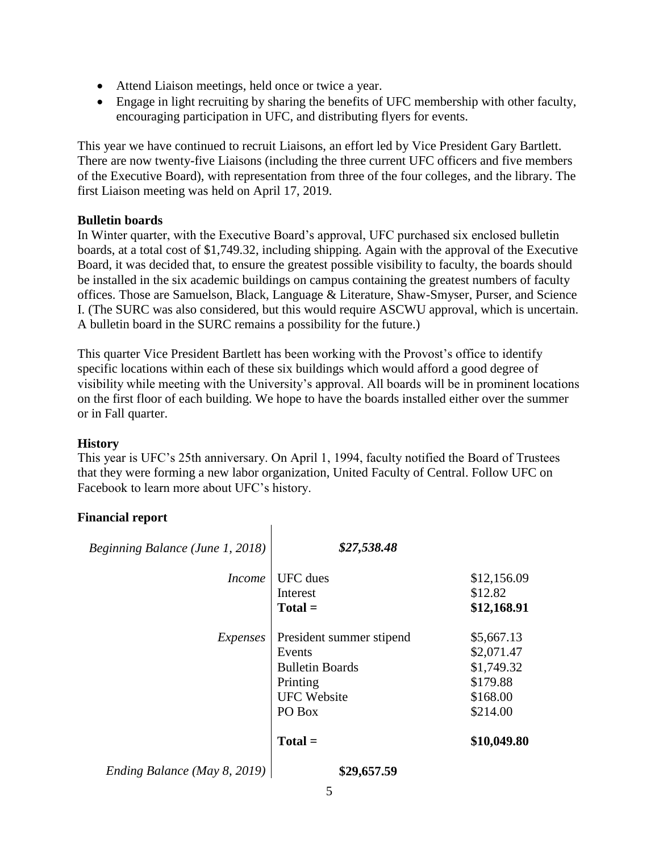- Attend Liaison meetings, held once or twice a year.
- Engage in light recruiting by sharing the benefits of UFC membership with other faculty, encouraging participation in UFC, and distributing flyers for events.

This year we have continued to recruit Liaisons, an effort led by Vice President Gary Bartlett. There are now twenty-five Liaisons (including the three current UFC officers and five members of the Executive Board), with representation from three of the four colleges, and the library. The first Liaison meeting was held on April 17, 2019.

#### **Bulletin boards**

In Winter quarter, with the Executive Board's approval, UFC purchased six enclosed bulletin boards, at a total cost of \$1,749.32, including shipping. Again with the approval of the Executive Board, it was decided that, to ensure the greatest possible visibility to faculty, the boards should be installed in the six academic buildings on campus containing the greatest numbers of faculty offices. Those are Samuelson, Black, Language & Literature, Shaw-Smyser, Purser, and Science I. (The SURC was also considered, but this would require ASCWU approval, which is uncertain. A bulletin board in the SURC remains a possibility for the future.)

This quarter Vice President Bartlett has been working with the Provost's office to identify specific locations within each of these six buildings which would afford a good degree of visibility while meeting with the University's approval. All boards will be in prominent locations on the first floor of each building. We hope to have the boards installed either over the summer or in Fall quarter.

### **History**

This year is UFC's 25th anniversary. On April 1, 1994, faculty notified the Board of Trustees that they were forming a new labor organization, United Faculty of Central. Follow UFC on Facebook to learn more about UFC's history.

### **Financial report**

| Beginning Balance (June 1, 2018) | \$27,538.48                                                                                              |                                                                            |
|----------------------------------|----------------------------------------------------------------------------------------------------------|----------------------------------------------------------------------------|
| <i>Income</i>                    | <b>UFC</b> dues<br>Interest<br>$Total =$                                                                 | \$12,156.09<br>\$12.82<br>\$12,168.91                                      |
| Expenses                         | President summer stipend<br>Events<br><b>Bulletin Boards</b><br>Printing<br><b>UFC Website</b><br>PO Box | \$5,667.13<br>\$2,071.47<br>\$1,749.32<br>\$179.88<br>\$168.00<br>\$214.00 |
|                                  | $Total =$                                                                                                | \$10,049.80                                                                |
| Ending Balance (May 8, 2019)     | \$29,657.59                                                                                              |                                                                            |